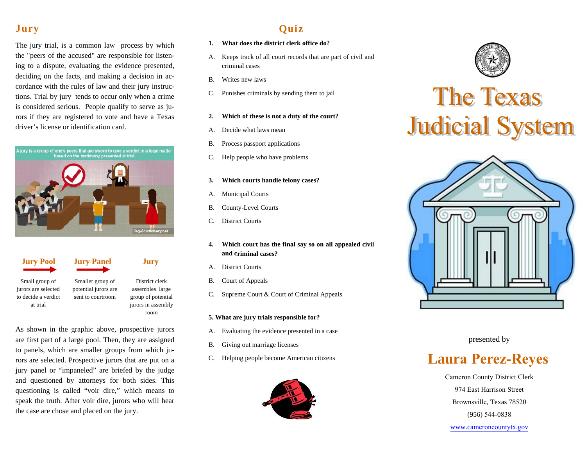### **Jury**

The jury trial, is a common law process by which the "peers of the accused" are responsible for listening to a dispute, evaluating the evidence presented, deciding on the facts, and making a decision in accordance with the rules of law and their jury instructions. Trial by jury tends to occur only when a crime is considered serious. People qualify to serve as jurors if they are registered to vote and have a Texas driver's license or identification card.





Small group of jurors are selected to decide a verdict at trial

Smaller group of potential jurors are sent to courtroom District clerk assembles large

group of potential jurors in assembly room

As shown in the graphic above, prospective jurors are first part of a large pool. Then, they are assigned to panels, which are smaller groups from which jurors are selected. Prospective jurors that are put on a jury panel or "impaneled" are briefed by the judge and questioned by attorneys for both sides. This questioning is called "voir dire," which means to speak the truth. After voir dire, jurors who will hear the case are chose and placed on the jury.

## **Quiz**

- **1. What does the district clerk office do?**
- A. Keeps track of all court records that are part of civil and criminal cases
- B. Writes new laws
- C. Punishes criminals by sending them to jail
- **2. Which of these is not a duty of the court?**
- A.Decide what laws mean
- B. Process passport applications
- C. Help people who have problems
- **3. Which courts handle felony cases?**
- A. Municipal Courts
- B. County-Level Courts
- C. District Courts
- **4. Which court has the final say so on all appealed civil and criminal cases?**
- A. District Courts
- B. Court of Appeals
- C. Supreme Court & Court of Criminal Appeals

#### **5. What are jury trials responsible for?**

- A.Evaluating the evidence presented in a case
- B. Giving out marriage licenses
- C. Helping people become American citizens





# **The Texas Judicial System**



presented by

## **Laura Perez-Reyes**

Cameron County District Clerk974 East Harrison StreetBrownsville, Texas 78520(956) 544-0838

www.cameroncountytx.gov